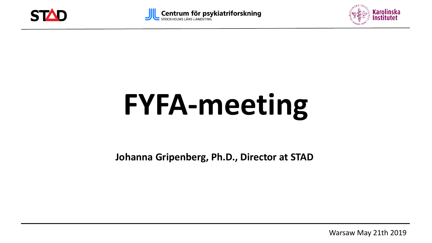





# **FYFA-meeting**

**Johanna Gripenberg, Ph.D., Director at STAD**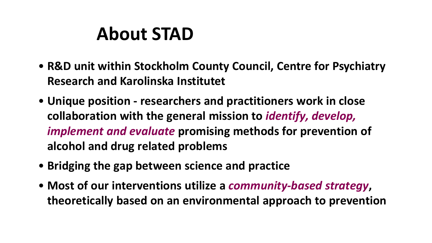### **About STAD**

- **R&D unit within Stockholm County Council, Centre for Psychiatry Research and Karolinska Institutet**
- **Unique position - researchers and practitioners work in close collaboration with the general mission to** *identify, develop, implement and evaluate* **promising methods for prevention of alcohol and drug related problems**
- **Bridging the gap between science and practice**
- **Most of our interventions utilize a** *community-based strategy***, theoretically based on an environmental approach to prevention**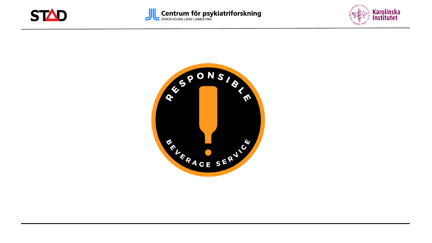





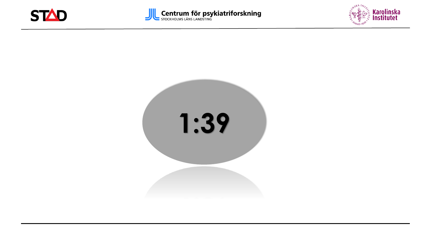





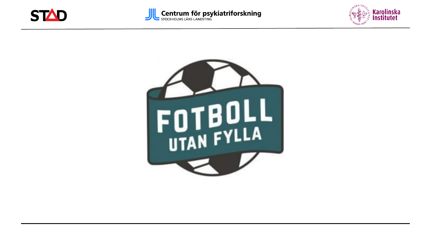





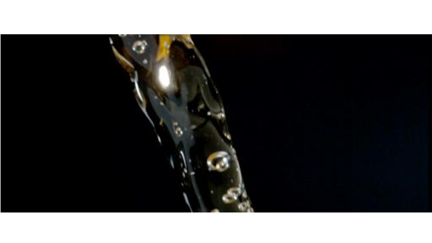![](_page_5_Picture_0.jpeg)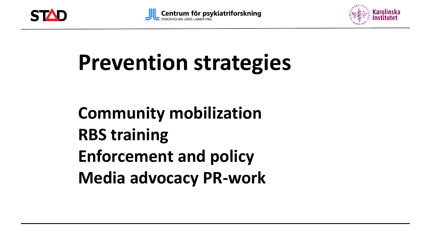![](_page_6_Picture_0.jpeg)

![](_page_6_Picture_2.jpeg)

# **Prevention strategies**

**Community mobilization RBS training Enforcement and policy Media advocacy PR-work**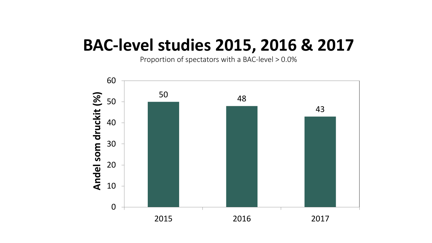#### **BAC-level studies 2015, 2016 & 2017**

Proportion of spectators with a BAC-level > 0.0%

![](_page_7_Figure_2.jpeg)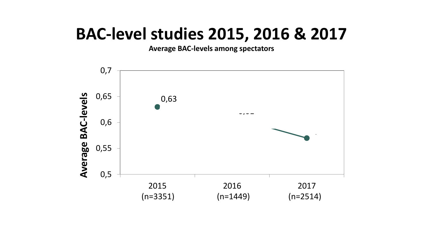#### **BAC-level studies 2015, 2016 & 2017**

**Average BAC-levels among spectators**

![](_page_8_Figure_2.jpeg)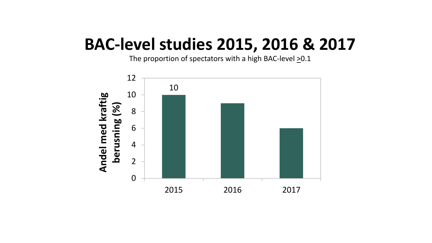#### **BAC-level studies 2015, 2016 & 2017**

The proportion of spectators with a high BAC-level  $\geq 0.1$ 

![](_page_9_Figure_2.jpeg)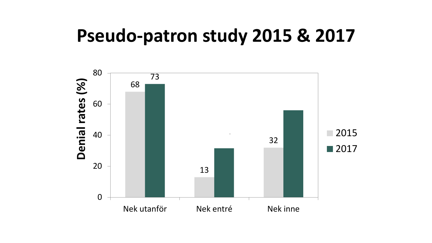#### **Pseudo-patron study 2015 & 2017**

![](_page_10_Figure_1.jpeg)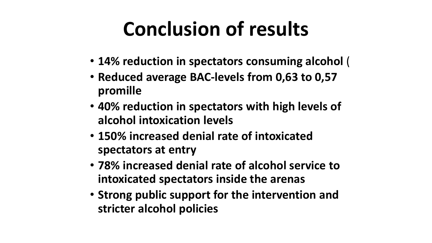### **Conclusion of results**

- **14% reduction in spectators consuming alcohol** (
- **Reduced average BAC-levels from 0,63 to 0,57 promille**
- **40% reduction in spectators with high levels of alcohol intoxication levels**
- **150% increased denial rate of intoxicated spectators at entry**
- **78% increased denial rate of alcohol service to intoxicated spectators inside the arenas**
- **Strong public support for the intervention and stricter alcohol policies**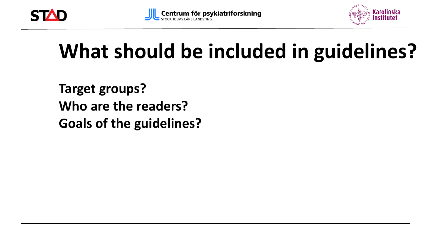![](_page_12_Picture_0.jpeg)

![](_page_12_Picture_2.jpeg)

**Target groups? Who are the readers? Goals of the guidelines?**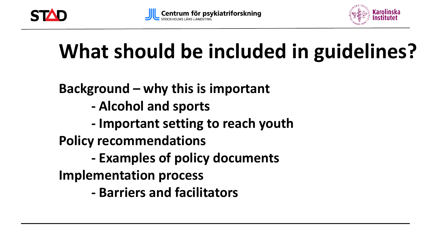![](_page_13_Picture_0.jpeg)

![](_page_13_Picture_2.jpeg)

**Background – why this is important**

- **- Alcohol and sports**
- **- Important setting to reach youth**

**Policy recommendations**

**- Examples of policy documents**

**Implementation process** 

**- Barriers and facilitators**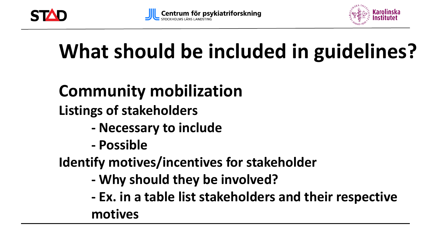![](_page_14_Picture_0.jpeg)

![](_page_14_Picture_2.jpeg)

### **Community mobilization**

**Listings of stakeholders**

- **- Necessary to include**
- **- Possible**

**Identify motives/incentives for stakeholder**

- **- Why should they be involved?**
- **- Ex. in a table list stakeholders and their respective motives**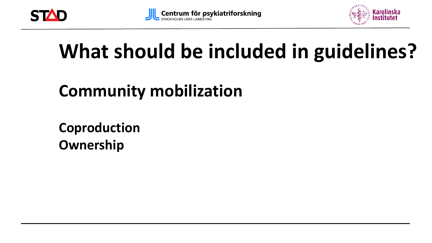![](_page_15_Picture_0.jpeg)

![](_page_15_Picture_2.jpeg)

#### **Community mobilization**

**Coproduction Ownership**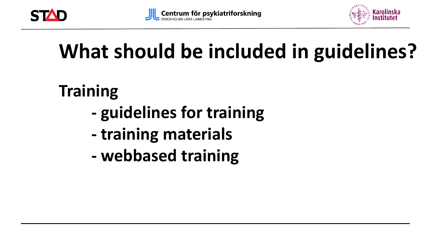![](_page_16_Picture_0.jpeg)

![](_page_16_Picture_2.jpeg)

### **Training**

- **- guidelines for training**
- **- training materials**
- **- webbased training**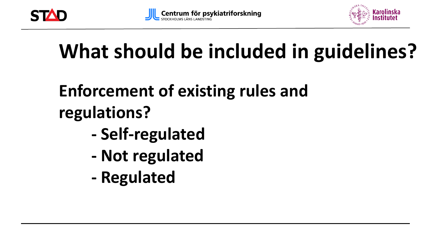![](_page_17_Picture_0.jpeg)

![](_page_17_Picture_2.jpeg)

### **Enforcement of existing rules and regulations?**

- **- Self-regulated**
- **- Not regulated**
- **- Regulated**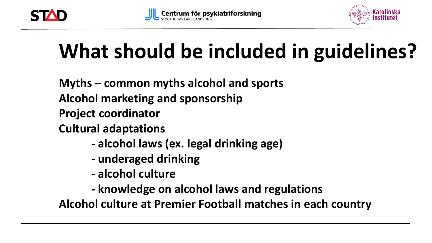![](_page_18_Picture_0.jpeg)

![](_page_18_Picture_2.jpeg)

**Myths – common myths alcohol and sports**

**Alcohol marketing and sponsorship**

**Project coordinator**

**Cultural adaptations**

- **- alcohol laws (ex. legal drinking age)**
- **- underaged drinking**
- **- alcohol culture**
- **- knowledge on alcohol laws and regulations**

**Alcohol culture at Premier Football matches in each country**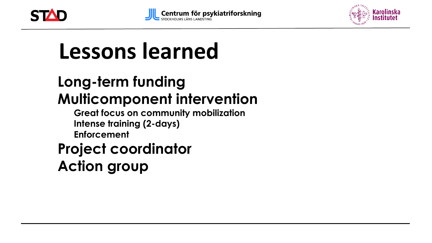![](_page_19_Picture_0.jpeg)

![](_page_19_Picture_2.jpeg)

# **Lessons learned**

#### **Long-term funding Multicomponent intervention**

**Great focus on community mobilization Intense training (2-days) Enforcement**

#### **Project coordinator Action group**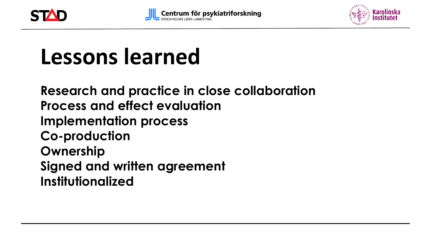![](_page_20_Picture_0.jpeg)

![](_page_20_Picture_2.jpeg)

# **Lessons learned**

**Research and practice in close collaboration Process and effect evaluation Implementation process Co-production Ownership Signed and written agreement Institutionalized**